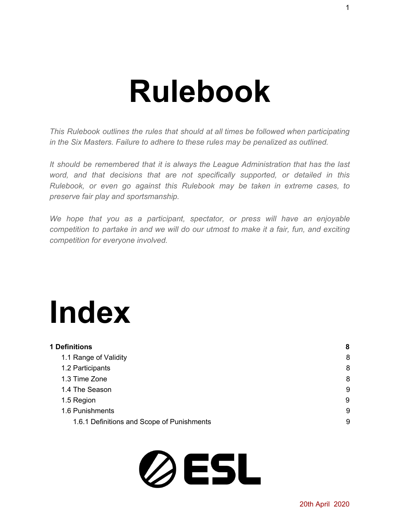# **Rulebook**

*This Rulebook outlines the rules that should at all times be followed when participating in the Six Masters. Failure to adhere to these rules may be penalized as outlined.*

*It should be remembered that it is always the League Administration that has the last word, and that decisions that are not specifically supported, or detailed in this Rulebook, or even go against this Rulebook may be taken in extreme cases, to preserve fair play and sportsmanship.*

*We hope that you as a participant, spectator, or press will have an enjoyable competition to partake in and we will do our utmost to make it a fair, fun, and exciting competition for everyone involved.*

# **Index**

| <b>1 Definitions</b>                       |   |
|--------------------------------------------|---|
| 1.1 Range of Validity                      | 8 |
| 1.2 Participants                           | 8 |
| 1.3 Time Zone                              | 8 |
| 1.4 The Season                             | 9 |
| 1.5 Region                                 | 9 |
| 1.6 Punishments                            | 9 |
| 1.6.1 Definitions and Scope of Punishments | 9 |
|                                            |   |

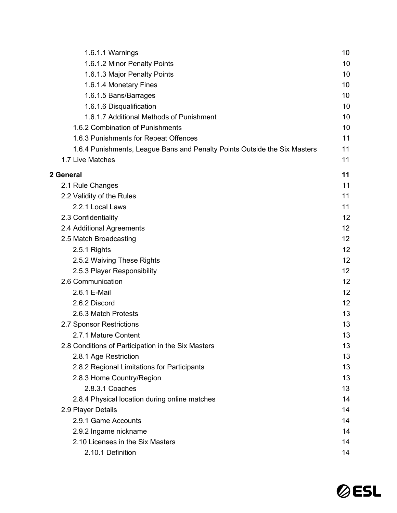| 1.6.1.1 Warnings                                                          | 10 |
|---------------------------------------------------------------------------|----|
| 1.6.1.2 Minor Penalty Points                                              | 10 |
| 1.6.1.3 Major Penalty Points                                              | 10 |
| 1.6.1.4 Monetary Fines                                                    | 10 |
| 1.6.1.5 Bans/Barrages                                                     | 10 |
| 1.6.1.6 Disqualification                                                  | 10 |
| 1.6.1.7 Additional Methods of Punishment                                  | 10 |
| 1.6.2 Combination of Punishments                                          | 10 |
| 1.6.3 Punishments for Repeat Offences                                     | 11 |
| 1.6.4 Punishments, League Bans and Penalty Points Outside the Six Masters | 11 |
| 1.7 Live Matches                                                          | 11 |
| 2 General                                                                 | 11 |
| 2.1 Rule Changes                                                          | 11 |
| 2.2 Validity of the Rules                                                 | 11 |
| 2.2.1 Local Laws                                                          | 11 |
| 2.3 Confidentiality                                                       | 12 |
| 2.4 Additional Agreements                                                 | 12 |
| 2.5 Match Broadcasting                                                    | 12 |
| 2.5.1 Rights                                                              | 12 |
| 2.5.2 Waiving These Rights                                                | 12 |
| 2.5.3 Player Responsibility                                               | 12 |
| 2.6 Communication                                                         | 12 |
| 2.6.1 E-Mail                                                              | 12 |
| 2.6.2 Discord                                                             | 12 |
| 2.6.3 Match Protests                                                      | 13 |
| 2.7 Sponsor Restrictions                                                  | 13 |
| 2.7.1 Mature Content                                                      | 13 |
| 2.8 Conditions of Participation in the Six Masters                        | 13 |
| 2.8.1 Age Restriction                                                     | 13 |
| 2.8.2 Regional Limitations for Participants                               | 13 |
| 2.8.3 Home Country/Region                                                 | 13 |
| 2.8.3.1 Coaches                                                           | 13 |
| 2.8.4 Physical location during online matches                             | 14 |
| 2.9 Player Details                                                        | 14 |
| 2.9.1 Game Accounts                                                       | 14 |
| 2.9.2 Ingame nickname                                                     | 14 |
| 2.10 Licenses in the Six Masters                                          | 14 |
| 2.10.1 Definition                                                         | 14 |
|                                                                           |    |

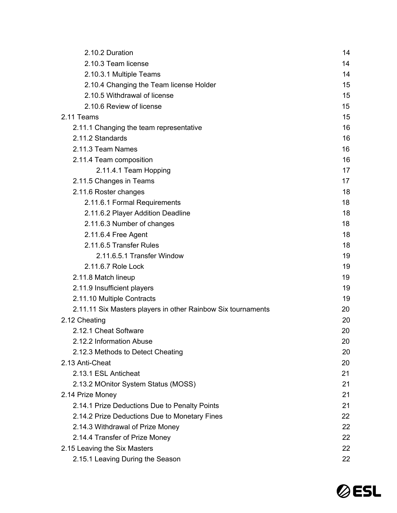| 2.10.2 Duration                                              | 14 |
|--------------------------------------------------------------|----|
| 2.10.3 Team license                                          | 14 |
| 2.10.3.1 Multiple Teams                                      | 14 |
| 2.10.4 Changing the Team license Holder                      | 15 |
| 2.10.5 Withdrawal of license                                 | 15 |
| 2.10.6 Review of license                                     | 15 |
| 2.11 Teams                                                   | 15 |
| 2.11.1 Changing the team representative                      | 16 |
| 2.11.2 Standards                                             | 16 |
| 2.11.3 Team Names                                            | 16 |
| 2.11.4 Team composition                                      | 16 |
| 2.11.4.1 Team Hopping                                        | 17 |
| 2.11.5 Changes in Teams                                      | 17 |
| 2.11.6 Roster changes                                        | 18 |
| 2.11.6.1 Formal Requirements                                 | 18 |
| 2.11.6.2 Player Addition Deadline                            | 18 |
| 2.11.6.3 Number of changes                                   | 18 |
| 2.11.6.4 Free Agent                                          | 18 |
| 2.11.6.5 Transfer Rules                                      | 18 |
| 2.11.6.5.1 Transfer Window                                   | 19 |
| 2.11.6.7 Role Lock                                           | 19 |
| 2.11.8 Match lineup                                          | 19 |
| 2.11.9 Insufficient players                                  | 19 |
| 2.11.10 Multiple Contracts                                   | 19 |
| 2.11.11 Six Masters players in other Rainbow Six tournaments | 20 |
| 2.12 Cheating                                                | 20 |
| 2.12.1 Cheat Software                                        | 20 |
| 2.12.2 Information Abuse                                     | 20 |
| 2.12.3 Methods to Detect Cheating                            | 20 |
| 2.13 Anti-Cheat                                              | 20 |
| 2.13.1 ESL Anticheat                                         | 21 |
| 2.13.2 MOnitor System Status (MOSS)                          | 21 |
| 2.14 Prize Money                                             | 21 |
| 2.14.1 Prize Deductions Due to Penalty Points                | 21 |
| 2.14.2 Prize Deductions Due to Monetary Fines                | 22 |
| 2.14.3 Withdrawal of Prize Money                             | 22 |
| 2.14.4 Transfer of Prize Money                               | 22 |
| 2.15 Leaving the Six Masters                                 | 22 |
| 2.15.1 Leaving During the Season                             | 22 |

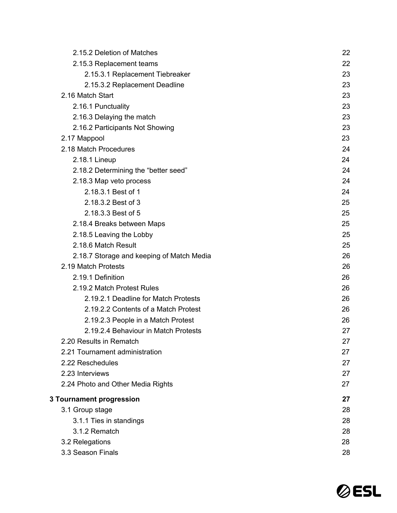| 2.15.2 Deletion of Matches                | 22 |
|-------------------------------------------|----|
| 2.15.3 Replacement teams                  | 22 |
| 2.15.3.1 Replacement Tiebreaker           | 23 |
| 2.15.3.2 Replacement Deadline             | 23 |
| 2.16 Match Start                          | 23 |
| 2.16.1 Punctuality                        | 23 |
| 2.16.3 Delaying the match                 | 23 |
| 2.16.2 Participants Not Showing           | 23 |
| 2.17 Mappool                              | 23 |
| 2.18 Match Procedures                     | 24 |
| 2.18.1 Lineup                             | 24 |
| 2.18.2 Determining the "better seed"      | 24 |
| 2.18.3 Map veto process                   | 24 |
| 2.18.3.1 Best of 1                        | 24 |
| 2.18.3.2 Best of 3                        | 25 |
| 2.18.3.3 Best of 5                        | 25 |
| 2.18.4 Breaks between Maps                | 25 |
| 2.18.5 Leaving the Lobby                  | 25 |
| 2.18.6 Match Result                       | 25 |
| 2.18.7 Storage and keeping of Match Media | 26 |
| 2.19 Match Protests                       | 26 |
| 2.19.1 Definition                         | 26 |
| 2.19.2 Match Protest Rules                | 26 |
| 2.19.2.1 Deadline for Match Protests      | 26 |
| 2.19.2.2 Contents of a Match Protest      | 26 |
| 2.19.2.3 People in a Match Protest        | 26 |
| 2.19.2.4 Behaviour in Match Protests      | 27 |
| 2.20 Results in Rematch                   | 27 |
| 2.21 Tournament administration            | 27 |
| 2.22 Reschedules                          | 27 |
| 2.23 Interviews                           | 27 |
| 2.24 Photo and Other Media Rights         | 27 |
| 3 Tournament progression                  | 27 |
| 3.1 Group stage                           | 28 |
| 3.1.1 Ties in standings                   | 28 |
| 3.1.2 Rematch                             | 28 |
| 3.2 Relegations                           | 28 |
| 3.3 Season Finals                         | 28 |

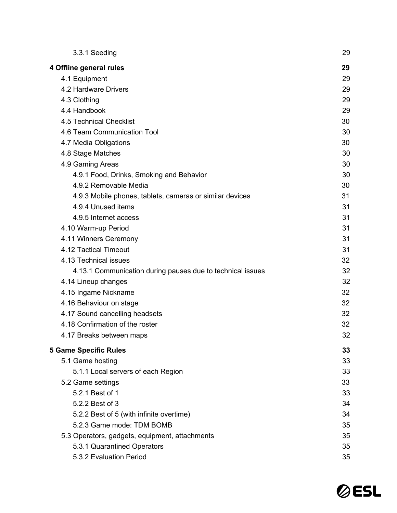| 3.3.1 Seeding                                              | 29 |
|------------------------------------------------------------|----|
| 4 Offline general rules                                    | 29 |
| 4.1 Equipment                                              | 29 |
| 4.2 Hardware Drivers                                       | 29 |
| 4.3 Clothing                                               | 29 |
| 4.4 Handbook                                               | 29 |
| 4.5 Technical Checklist                                    | 30 |
| 4.6 Team Communication Tool                                | 30 |
| 4.7 Media Obligations                                      | 30 |
| 4.8 Stage Matches                                          | 30 |
| 4.9 Gaming Areas                                           | 30 |
| 4.9.1 Food, Drinks, Smoking and Behavior                   | 30 |
| 4.9.2 Removable Media                                      | 30 |
| 4.9.3 Mobile phones, tablets, cameras or similar devices   | 31 |
| 4.9.4 Unused items                                         | 31 |
| 4.9.5 Internet access                                      | 31 |
| 4.10 Warm-up Period                                        | 31 |
| 4.11 Winners Ceremony                                      | 31 |
| 4.12 Tactical Timeout                                      | 31 |
| 4.13 Technical issues                                      | 32 |
| 4.13.1 Communication during pauses due to technical issues | 32 |
| 4.14 Lineup changes                                        | 32 |
| 4.15 Ingame Nickname                                       | 32 |
| 4.16 Behaviour on stage                                    | 32 |
| 4.17 Sound cancelling headsets                             | 32 |
| 4.18 Confirmation of the roster                            | 32 |
| 4.17 Breaks between maps                                   | 32 |
| <b>5 Game Specific Rules</b>                               | 33 |
| 5.1 Game hosting                                           | 33 |
| 5.1.1 Local servers of each Region                         | 33 |
| 5.2 Game settings                                          | 33 |
| 5.2.1 Best of 1                                            | 33 |
| 5.2.2 Best of 3                                            | 34 |
| 5.2.2 Best of 5 (with infinite overtime)                   | 34 |
| 5.2.3 Game mode: TDM BOMB                                  | 35 |
| 5.3 Operators, gadgets, equipment, attachments             | 35 |
| 5.3.1 Quarantined Operators                                | 35 |
| 5.3.2 Evaluation Period                                    | 35 |

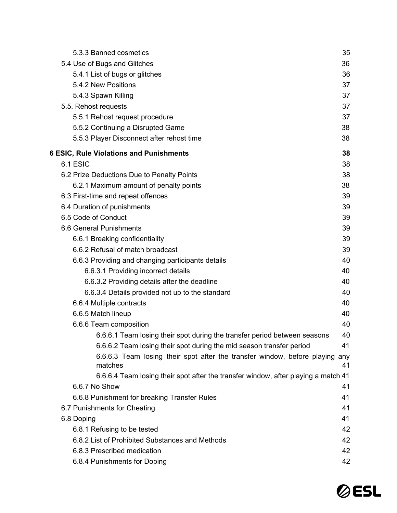| 5.3.3 Banned cosmetics                                                              | 35        |
|-------------------------------------------------------------------------------------|-----------|
| 5.4 Use of Bugs and Glitches                                                        | 36        |
| 5.4.1 List of bugs or glitches                                                      | 36        |
| 5.4.2 New Positions                                                                 | 37        |
| 5.4.3 Spawn Killing                                                                 | 37        |
| 5.5. Rehost requests                                                                | 37        |
| 5.5.1 Rehost request procedure                                                      | 37        |
| 5.5.2 Continuing a Disrupted Game                                                   | 38        |
| 5.5.3 Player Disconnect after rehost time                                           | 38        |
| 6 ESIC, Rule Violations and Punishments                                             | 38        |
| 6.1 ESIC                                                                            | 38        |
| 6.2 Prize Deductions Due to Penalty Points                                          | 38        |
| 6.2.1 Maximum amount of penalty points                                              | 38        |
| 6.3 First-time and repeat offences                                                  | 39        |
| 6.4 Duration of punishments                                                         | 39        |
| 6.5 Code of Conduct                                                                 | 39        |
| 6.6 General Punishments                                                             | 39        |
| 6.6.1 Breaking confidentiality                                                      | 39        |
| 6.6.2 Refusal of match broadcast                                                    | 39        |
| 6.6.3 Providing and changing participants details                                   | 40        |
| 6.6.3.1 Providing incorrect details                                                 | 40        |
| 6.6.3.2 Providing details after the deadline                                        | 40        |
| 6.6.3.4 Details provided not up to the standard                                     | 40        |
| 6.6.4 Multiple contracts                                                            | 40        |
| 6.6.5 Match lineup                                                                  | 40        |
| 6.6.6 Team composition                                                              | 40        |
| 6.6.6.1 Team losing their spot during the transfer period between seasons           | 40        |
| 6.6.6.2 Team losing their spot during the mid season transfer period                | 41        |
| 6.6.6.3 Team losing their spot after the transfer window, before playing<br>matches | any<br>41 |
| 6.6.6.4 Team losing their spot after the transfer window, after playing a match 41  |           |
| 6.6.7 No Show                                                                       | 41        |
| 6.6.8 Punishment for breaking Transfer Rules                                        | 41        |
| 6.7 Punishments for Cheating                                                        | 41        |
| 6.8 Doping                                                                          | 41        |
| 6.8.1 Refusing to be tested                                                         | 42        |
| 6.8.2 List of Prohibited Substances and Methods                                     | 42        |
| 6.8.3 Prescribed medication                                                         | 42        |
| 6.8.4 Punishments for Doping                                                        | 42        |

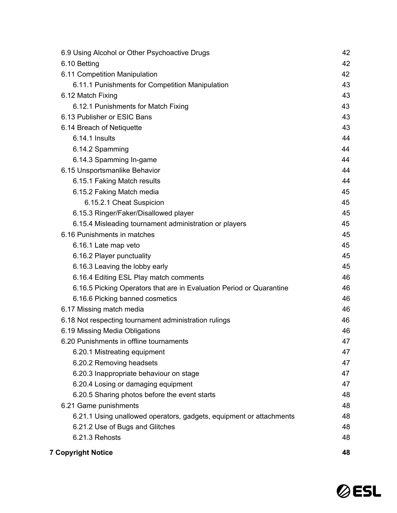| 6.9 Using Alcohol or Other Psychoactive Drugs                        | 42 |
|----------------------------------------------------------------------|----|
| 6.10 Betting                                                         | 42 |
| 6.11 Competition Manipulation                                        | 42 |
| 6.11.1 Punishments for Competition Manipulation                      | 43 |
| 6.12 Match Fixing                                                    | 43 |
| 6.12.1 Punishments for Match Fixing                                  | 43 |
| 6.13 Publisher or ESIC Bans                                          | 43 |
| 6.14 Breach of Netiquette                                            | 43 |
| 6.14.1 Insults                                                       | 44 |
| 6.14.2 Spamming                                                      | 44 |
| 6.14.3 Spamming In-game                                              | 44 |
| 6.15 Unsportsmanlike Behavior                                        | 44 |
| 6.15.1 Faking Match results                                          | 44 |
| 6.15.2 Faking Match media                                            | 45 |
| 6.15.2.1 Cheat Suspicion                                             | 45 |
| 6.15.3 Ringer/Faker/Disallowed player                                | 45 |
| 6.15.4 Misleading tournament administration or players               | 45 |
| 6.16 Punishments in matches                                          | 45 |
| 6.16.1 Late map veto                                                 | 45 |
| 6.16.2 Player punctuality                                            | 45 |
| 6.16.3 Leaving the lobby early                                       | 45 |
| 6.16.4 Editing ESL Play match comments                               | 46 |
| 6.16.5 Picking Operators that are in Evaluation Period or Quarantine | 46 |
| 6.16.6 Picking banned cosmetics                                      | 46 |
| 6.17 Missing match media                                             | 46 |
| 6.18 Not respecting tournament administration rulings                | 46 |
| 6.19 Missing Media Obligations                                       | 46 |
| 6.20 Punishments in offline tournaments                              | 47 |
| 6.20.1 Mistreating equipment                                         | 47 |
| 6.20.2 Removing headsets                                             | 47 |
| 6.20.3 Inappropriate behaviour on stage                              | 47 |
| 6.20.4 Losing or damaging equipment                                  | 47 |
| 6.20.5 Sharing photos before the event starts                        | 48 |
| 6.21 Game punishments                                                | 48 |
| 6.21.1 Using unallowed operators, gadgets, equipment or attachments  | 48 |
| 6.21.2 Use of Bugs and Glitches                                      | 48 |
| 6.21.3 Rehosts                                                       | 48 |
| <b>7 Copyright Notice</b>                                            | 48 |

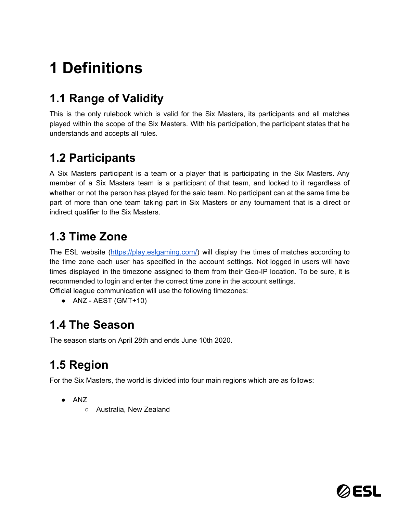# <span id="page-7-0"></span>**1 Definitions**

### <span id="page-7-1"></span>**1.1 Range of Validity**

This is the only rulebook which is valid for the Six Masters, its participants and all matches played within the scope of the Six Masters. With his participation, the participant states that he understands and accepts all rules.

### <span id="page-7-2"></span>**1.2 Participants**

A Six Masters participant is a team or a player that is participating in the Six Masters. Any member of a Six Masters team is a participant of that team, and locked to it regardless of whether or not the person has played for the said team. No participant can at the same time be part of more than one team taking part in Six Masters or any tournament that is a direct or indirect qualifier to the Six Masters.

### <span id="page-7-3"></span>**1.3 Time Zone**

The ESL website ([https://play.eslgaming.com](https://play.eslgaming.com/)[/\)](https://pro.eslgaming.com/r6/proleague/) will display the times of matches according to the time zone each user has specified in the account settings. Not logged in users will have times displayed in the timezone assigned to them from their Geo-IP location. To be sure, it is recommended to login and enter the correct time zone in the account settings. Official league communication will use the following timezones:

 $\bullet$  ANZ - AEST (GMT+10)

### <span id="page-7-4"></span>**1.4 The Season**

<span id="page-7-5"></span>The season starts on April 28th and ends June 10th 2020.

### **1.5 Region**

For the Six Masters, the world is divided into four main regions which are as follows:

- ANZ
	- Australia, New Zealand

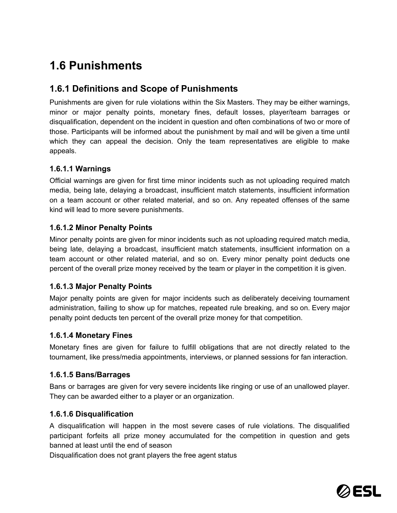### <span id="page-8-0"></span>**1.6 Punishments**

### <span id="page-8-1"></span>**1.6.1 Definitions and Scope of Punishments**

Punishments are given for rule violations within the Six Masters. They may be either warnings, minor or major penalty points, monetary fines, default losses, player/team barrages or disqualification, dependent on the incident in question and often combinations of two or more of those. Participants will be informed about the punishment by mail and will be given a time until which they can appeal the decision. Only the team representatives are eligible to make appeals.

#### <span id="page-8-2"></span>**1.6.1.1 Warnings**

Official warnings are given for first time minor incidents such as not uploading required match media, being late, delaying a broadcast, insufficient match statements, insufficient information on a team account or other related material, and so on. Any repeated offenses of the same kind will lead to more severe punishments.

#### <span id="page-8-3"></span>**1.6.1.2 Minor Penalty Points**

Minor penalty points are given for minor incidents such as not uploading required match media, being late, delaying a broadcast, insufficient match statements, insufficient information on a team account or other related material, and so on. Every minor penalty point deducts one percent of the overall prize money received by the team or player in the competition it is given.

#### <span id="page-8-4"></span>**1.6.1.3 Major Penalty Points**

Major penalty points are given for major incidents such as deliberately deceiving tournament administration, failing to show up for matches, repeated rule breaking, and so on. Every major penalty point deducts ten percent of the overall prize money for that competition.

#### <span id="page-8-5"></span>**1.6.1.4 Monetary Fines**

Monetary fines are given for failure to fulfill obligations that are not directly related to the tournament, like press/media appointments, interviews, or planned sessions for fan interaction.

#### <span id="page-8-6"></span>**1.6.1.5 Bans/Barrages**

Bans or barrages are given for very severe incidents like ringing or use of an unallowed player. They can be awarded either to a player or an organization.

#### <span id="page-8-7"></span>**1.6.1.6 Disqualification**

A disqualification will happen in the most severe cases of rule violations. The disqualified participant forfeits all prize money accumulated for the competition in question and gets banned at least until the end of season

Disqualification does not grant players the free agent status

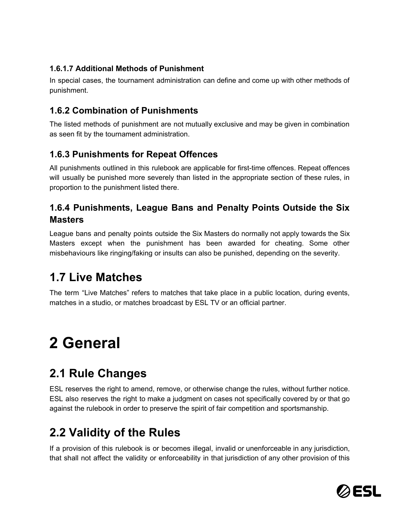#### <span id="page-9-0"></span>**1.6.1.7 Additional Methods of Punishment**

In special cases, the tournament administration can define and come up with other methods of punishment.

### <span id="page-9-1"></span>**1.6.2 Combination of Punishments**

The listed methods of punishment are not mutually exclusive and may be given in combination as seen fit by the tournament administration.

### <span id="page-9-2"></span>**1.6.3 Punishments for Repeat Offences**

All punishments outlined in this rulebook are applicable for first-time offences. Repeat offences will usually be punished more severely than listed in the appropriate section of these rules, in proportion to the punishment listed there.

### <span id="page-9-3"></span>**1.6.4 Punishments, League Bans and Penalty Points Outside the Six Masters**

League bans and penalty points outside the Six Masters do normally not apply towards the Six Masters except when the punishment has been awarded for cheating. Some other misbehaviours like ringing/faking or insults can also be punished, depending on the severity.

### <span id="page-9-4"></span>**1.7 Live Matches**

The term "Live Matches" refers to matches that take place in a public location, during events, matches in a studio, or matches broadcast by ESL TV or an official partner.

# <span id="page-9-5"></span>**2 General**

### <span id="page-9-6"></span>**2.1 Rule Changes**

ESL reserves the right to amend, remove, or otherwise change the rules, without further notice. ESL also reserves the right to make a judgment on cases not specifically covered by or that go against the rulebook in order to preserve the spirit of fair competition and sportsmanship.

### <span id="page-9-7"></span>**2.2 Validity of the Rules**

If a provision of this rulebook is or becomes illegal, invalid or unenforceable in any jurisdiction, that shall not affect the validity or enforceability in that jurisdiction of any other provision of this

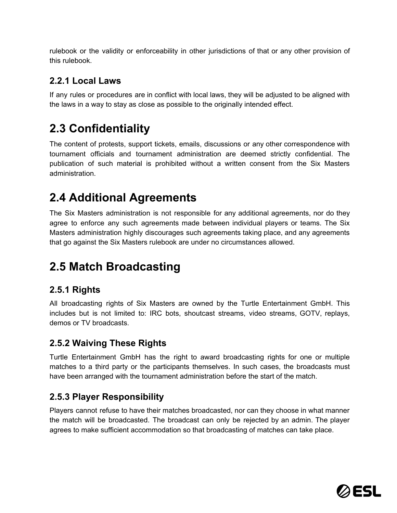rulebook or the validity or enforceability in other jurisdictions of that or any other provision of this rulebook.

### <span id="page-10-0"></span>**2.2.1 Local Laws**

If any rules or procedures are in conflict with local laws, they will be adjusted to be aligned with the laws in a way to stay as close as possible to the originally intended effect.

### <span id="page-10-1"></span>**2.3 Confidentiality**

The content of protests, support tickets, emails, discussions or any other correspondence with tournament officials and tournament administration are deemed strictly confidential. The publication of such material is prohibited without a written consent from the Six Masters administration.

### <span id="page-10-2"></span>**2.4 Additional Agreements**

The Six Masters administration is not responsible for any additional agreements, nor do they agree to enforce any such agreements made between individual players or teams. The Six Masters administration highly discourages such agreements taking place, and any agreements that go against the Six Masters rulebook are under no circumstances allowed.

### <span id="page-10-3"></span>**2.5 Match Broadcasting**

### <span id="page-10-4"></span>**2.5.1 Rights**

All broadcasting rights of Six Masters are owned by the Turtle Entertainment GmbH. This includes but is not limited to: IRC bots, shoutcast streams, video streams, GOTV, replays, demos or TV broadcasts.

### <span id="page-10-5"></span>**2.5.2 Waiving These Rights**

Turtle Entertainment GmbH has the right to award broadcasting rights for one or multiple matches to a third party or the participants themselves. In such cases, the broadcasts must have been arranged with the tournament administration before the start of the match.

### <span id="page-10-6"></span>**2.5.3 Player Responsibility**

Players cannot refuse to have their matches broadcasted, nor can they choose in what manner the match will be broadcasted. The broadcast can only be rejected by an admin. The player agrees to make sufficient accommodation so that broadcasting of matches can take place.

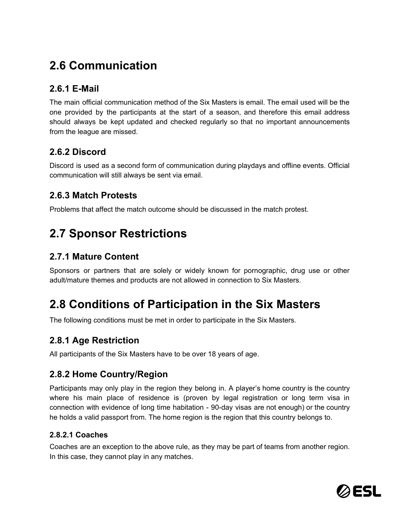### <span id="page-11-0"></span>**2.6 Communication**

### <span id="page-11-1"></span>**2.6.1 E-Mail**

The main official communication method of the Six Masters is email. The email used will be the one provided by the participants at the start of a season, and therefore this email address should always be kept updated and checked regularly so that no important announcements from the league are missed.

### <span id="page-11-2"></span>**2.6.2 Discord**

Discord is used as a second form of communication during playdays and offline events. Official communication will still always be sent via email.

### <span id="page-11-3"></span>**2.6.3 Match Protests**

<span id="page-11-4"></span>Problems that affect the match outcome should be discussed in the match protest.

### **2.7 Sponsor Restrictions**

#### <span id="page-11-5"></span>**2.7.1 Mature Content**

Sponsors or partners that are solely or widely known for pornographic, drug use or other adult/mature themes and products are not allowed in connection to Six Masters.

### <span id="page-11-6"></span>**2.8 Conditions of Participation in the Six Masters**

The following conditions must be met in order to participate in the Six Masters.

#### <span id="page-11-7"></span>**2.8.1 Age Restriction**

<span id="page-11-8"></span>All participants of the Six Masters have to be over 18 years of age.

#### **2.8.2 Home Country/Region**

Participants may only play in the region they belong in. A player's home country is the country where his main place of residence is (proven by legal registration or long term visa in connection with evidence of long time habitation - 90-day visas are not enough) or the country he holds a valid passport from. The home region is the region that this country belongs to.

#### <span id="page-11-9"></span>**2.8.2.1 Coaches**

Coaches are an exception to the above rule, as they may be part of teams from another region. In this case, they cannot play in any matches.

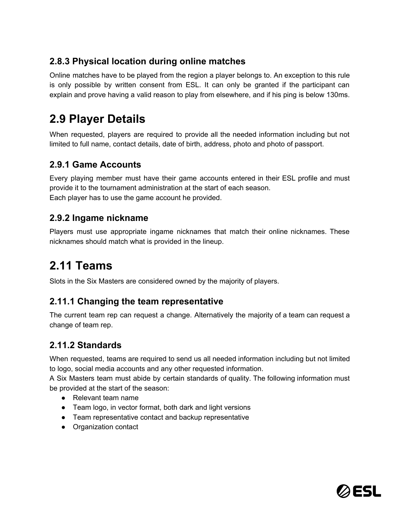### <span id="page-12-0"></span>**2.8.3 Physical location during online matches**

Online matches have to be played from the region a player belongs to. An exception to this rule is only possible by written consent from ESL. It can only be granted if the participant can explain and prove having a valid reason to play from elsewhere, and if his ping is below 130ms.

### <span id="page-12-1"></span>**2.9 Player Details**

When requested, players are required to provide all the needed information including but not limited to full name, contact details, date of birth, address, photo and photo of passport.

### <span id="page-12-2"></span>**2.9.1 Game Accounts**

Every playing member must have their game accounts entered in their ESL profile and must provide it to the tournament administration at the start of each season. Each player has to use the game account he provided.

### <span id="page-12-3"></span>**2.9.2 Ingame nickname**

Players must use appropriate ingame nicknames that match their online nicknames. These nicknames should match what is provided in the lineup.

### <span id="page-12-4"></span>**2.11 Teams**

<span id="page-12-5"></span>Slots in the Six Masters are considered owned by the majority of players.

#### **2.11.1 Changing the team representative**

The current team rep can request a change. Alternatively the majority of a team can request a change of team rep.

### <span id="page-12-6"></span>**2.11.2 Standards**

When requested, teams are required to send us all needed information including but not limited to logo, social media accounts and any other requested information.

A Six Masters team must abide by certain standards of quality. The following information must be provided at the start of the season:

- Relevant team name
- Team logo, in vector format, both dark and light versions
- Team representative contact and backup representative
- Organization contact

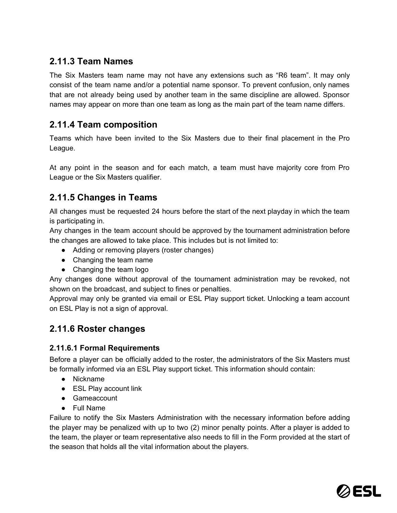### <span id="page-13-0"></span>**2.11.3 Team Names**

The Six Masters team name may not have any extensions such as "R6 team". It may only consist of the team name and/or a potential name sponsor. To prevent confusion, only names that are not already being used by another team in the same discipline are allowed. Sponsor names may appear on more than one team as long as the main part of the team name differs.

### <span id="page-13-1"></span>**2.11.4 Team composition**

Teams which have been invited to the Six Masters due to their final placement in the Pro League.

At any point in the season and for each match, a team must have majority core from Pro League or the Six Masters qualifier.

### <span id="page-13-2"></span>**2.11.5 Changes in Teams**

All changes must be requested 24 hours before the start of the next playday in which the team is participating in.

Any changes in the team account should be approved by the tournament administration before the changes are allowed to take place. This includes but is not limited to:

- Adding or removing players (roster changes)
- Changing the team name
- Changing the team logo

Any changes done without approval of the tournament administration may be revoked, not shown on the broadcast, and subject to fines or penalties.

Approval may only be granted via email or ESL Play support ticket. Unlocking a team account on ESL Play is not a sign of approval.

### <span id="page-13-3"></span>**2.11.6 Roster changes**

#### <span id="page-13-4"></span>**2.11.6.1 Formal Requirements**

Before a player can be officially added to the roster, the administrators of the Six Masters must be formally informed via an ESL Play support ticket. This information should contain:

- Nickname
- ESL Play account link
- Gameaccount
- Full Name

Failure to notify the Six Masters Administration with the necessary information before adding the player may be penalized with up to two (2) minor penalty points. After a player is added to the team, the player or team representative also needs to fill in the Form provided at the start of the season that holds all the vital information about the players.

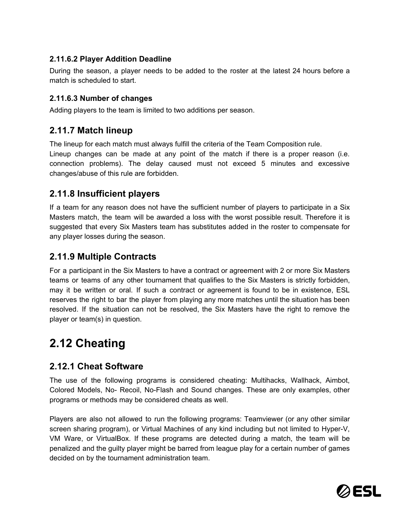#### <span id="page-14-0"></span>**2.11.6.2 Player Addition Deadline**

During the season, a player needs to be added to the roster at the latest 24 hours before a match is scheduled to start.

#### <span id="page-14-1"></span>**2.11.6.3 Number of changes**

Adding players to the team is limited to two additions per season.

#### <span id="page-14-2"></span>**2.11.7 Match lineup**

The lineup for each match must always fulfill the criteria of the Team Composition rule. Lineup changes can be made at any point of the match if there is a proper reason (i.e. connection problems). The delay caused must not exceed 5 minutes and excessive changes/abuse of this rule are forbidden.

### <span id="page-14-3"></span>**2.11.8 Insufficient players**

If a team for any reason does not have the sufficient number of players to participate in a Six Masters match, the team will be awarded a loss with the worst possible result. Therefore it is suggested that every Six Masters team has substitutes added in the roster to compensate for any player losses during the season.

#### <span id="page-14-4"></span>**2.11.9 Multiple Contracts**

For a participant in the Six Masters to have a contract or agreement with 2 or more Six Masters teams or teams of any other tournament that qualifies to the Six Masters is strictly forbidden, may it be written or oral. If such a contract or agreement is found to be in existence, ESL reserves the right to bar the player from playing any more matches until the situation has been resolved. If the situation can not be resolved, the Six Masters have the right to remove the player or team(s) in question.

### <span id="page-14-5"></span>**2.12 Cheating**

#### <span id="page-14-6"></span>**2.12.1 Cheat Software**

The use of the following programs is considered cheating: Multihacks, Wallhack, Aimbot, Colored Models, No- Recoil, No-Flash and Sound changes. These are only examples, other programs or methods may be considered cheats as well.

Players are also not allowed to run the following programs: Teamviewer (or any other similar screen sharing program), or Virtual Machines of any kind including but not limited to Hyper-V, VM Ware, or VirtualBox. If these programs are detected during a match, the team will be penalized and the guilty player might be barred from league play for a certain number of games decided on by the tournament administration team.

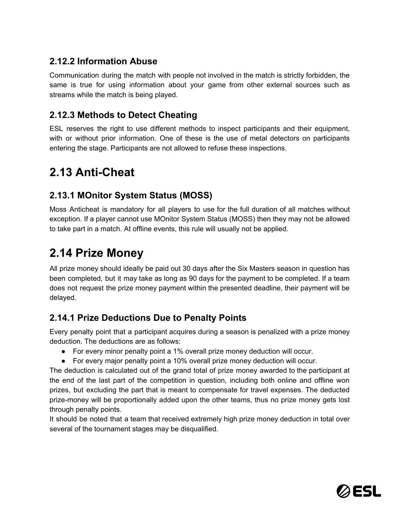### <span id="page-15-0"></span>**2.12.2 Information Abuse**

Communication during the match with people not involved in the match is strictly forbidden, the same is true for using information about your game from other external sources such as streams while the match is being played.

### <span id="page-15-1"></span>**2.12.3 Methods to Detect Cheating**

ESL reserves the right to use different methods to inspect participants and their equipment, with or without prior information. One of these is the use of metal detectors on participants entering the stage. Participants are not allowed to refuse these inspections.

### <span id="page-15-2"></span>**2.13 Anti-Cheat**

### <span id="page-15-3"></span>**2.13.1 MOnitor System Status (MOSS)**

Moss Anticheat is mandatory for all players to use for the full duration of all matches without exception. If a player cannot use MOnitor System Status (MOSS) then they may not be allowed to take part in a match. At offline events, this rule will usually not be applied.

### <span id="page-15-4"></span>**2.14 Prize Money**

All prize money should ideally be paid out 30 days after the Six Masters season in question has been completed, but it may take as long as 90 days for the payment to be completed. If a team does not request the prize money payment within the presented deadline, their payment will be delayed.

### <span id="page-15-5"></span>**2.14.1 Prize Deductions Due to Penalty Points**

Every penalty point that a participant acquires during a season is penalized with a prize money deduction. The deductions are as follows:

- For every minor penalty point a 1% overall prize money deduction will occur.
- For every major penalty point a 10% overall prize money deduction will occur.

The deduction is calculated out of the grand total of prize money awarded to the participant at the end of the last part of the competition in question, including both online and offline won prizes, but excluding the part that is meant to compensate for travel expenses. The deducted prize-money will be proportionally added upon the other teams, thus no prize money gets lost through penalty points.

It should be noted that a team that received extremely high prize money deduction in total over several of the tournament stages may be disqualified.

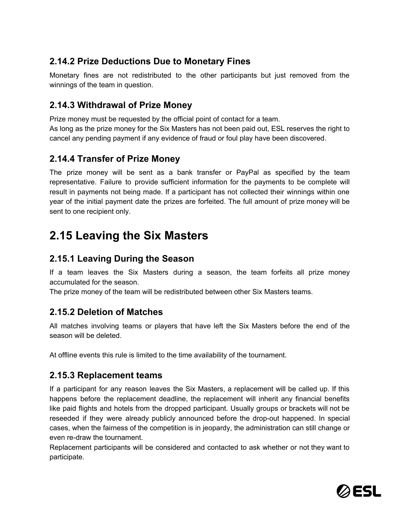### <span id="page-16-0"></span>**2.14.2 Prize Deductions Due to Monetary Fines**

Monetary fines are not redistributed to the other participants but just removed from the winnings of the team in question.

### <span id="page-16-1"></span>**2.14.3 Withdrawal of Prize Money**

Prize money must be requested by the official point of contact for a team.

As long as the prize money for the Six Masters has not been paid out, ESL reserves the right to cancel any pending payment if any evidence of fraud or foul play have been discovered.

### <span id="page-16-2"></span>**2.14.4 Transfer of Prize Money**

The prize money will be sent as a bank transfer or PayPal as specified by the team representative. Failure to provide sufficient information for the payments to be complete will result in payments not being made. If a participant has not collected their winnings within one year of the initial payment date the prizes are forfeited. The full amount of prize money will be sent to one recipient only.

### <span id="page-16-3"></span>**2.15 Leaving the Six Masters**

### <span id="page-16-4"></span>**2.15.1 Leaving During the Season**

If a team leaves the Six Masters during a season, the team forfeits all prize money accumulated for the season.

<span id="page-16-5"></span>The prize money of the team will be redistributed between other Six Masters teams.

#### **2.15.2 Deletion of Matches**

All matches involving teams or players that have left the Six Masters before the end of the season will be deleted.

At offline events this rule is limited to the time availability of the tournament.

#### <span id="page-16-6"></span>**2.15.3 Replacement teams**

If a participant for any reason leaves the Six Masters, a replacement will be called up. If this happens before the replacement deadline, the replacement will inherit any financial benefits like paid flights and hotels from the dropped participant. Usually groups or brackets will not be reseeded if they were already publicly announced before the drop-out happened. In special cases, when the fairness of the competition is in jeopardy, the administration can still change or even re-draw the tournament.

Replacement participants will be considered and contacted to ask whether or not they want to participate.

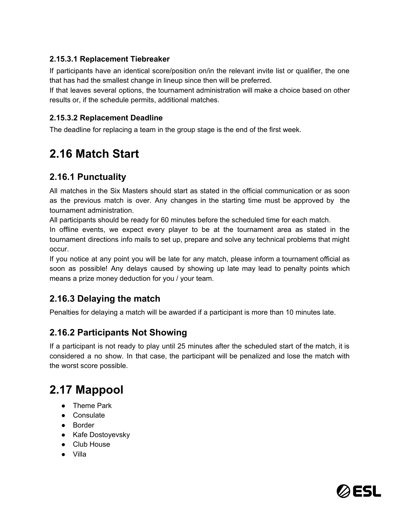#### <span id="page-17-0"></span>**2.15.3.1 Replacement Tiebreaker**

If participants have an identical score/position on/in the relevant invite list or qualifier, the one that has had the smallest change in lineup since then will be preferred.

If that leaves several options, the tournament administration will make a choice based on other results or, if the schedule permits, additional matches.

#### <span id="page-17-1"></span>**2.15.3.2 Replacement Deadline**

<span id="page-17-2"></span>The deadline for replacing a team in the group stage is the end of the first week.

### **2.16 Match Start**

### <span id="page-17-3"></span>**2.16.1 Punctuality**

All matches in the Six Masters should start as stated in the official communication or as soon as the previous match is over. Any changes in the starting time must be approved by the tournament administration.

All participants should be ready for 60 minutes before the scheduled time for each match.

In offline events, we expect every player to be at the tournament area as stated in the tournament directions info mails to set up, prepare and solve any technical problems that might occur.

If you notice at any point you will be late for any match, please inform a tournament official as soon as possible! Any delays caused by showing up late may lead to penalty points which means a prize money deduction for you / your team.

### <span id="page-17-4"></span>**2.16.3 Delaying the match**

<span id="page-17-5"></span>Penalties for delaying a match will be awarded if a participant is more than 10 minutes late.

### **2.16.2 Participants Not Showing**

If a participant is not ready to play until 25 minutes after the scheduled start of the match, it is considered a no show. In that case, the participant will be penalized and lose the match with the worst score possible.

### <span id="page-17-6"></span>**2.17 Mappool**

- Theme Park
- Consulate
- Border
- Kafe Dostoyevsky
- Club House
- Villa

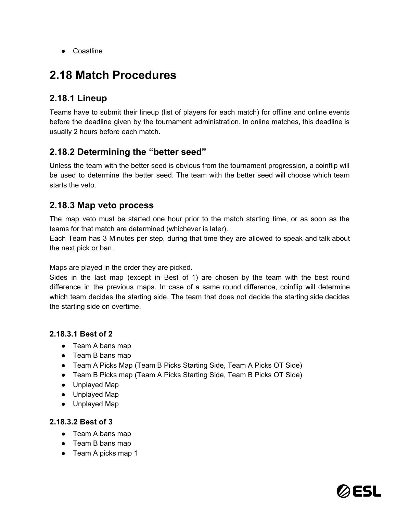● Coastline

### <span id="page-18-0"></span>**2.18 Match Procedures**

### <span id="page-18-1"></span>**2.18.1 Lineup**

Teams have to submit their lineup (list of players for each match) for offline and online events before the deadline given by the tournament administration. In online matches, this deadline is usually 2 hours before each match.

### <span id="page-18-2"></span>**2.18.2 Determining the "better seed"**

Unless the team with the better seed is obvious from the tournament progression, a coinflip will be used to determine the better seed. The team with the better seed will choose which team starts the veto.

#### <span id="page-18-3"></span>**2.18.3 Map veto process**

The map veto must be started one hour prior to the match starting time, or as soon as the teams for that match are determined (whichever is later).

Each Team has 3 Minutes per step, during that time they are allowed to speak and talk about the next pick or ban.

Maps are played in the order they are picked.

Sides in the last map (except in Best of 1) are chosen by the team with the best round difference in the previous maps. In case of a same round difference, coinflip will determine which team decides the starting side. The team that does not decide the starting side decides the starting side on overtime.

#### <span id="page-18-4"></span>**2.18.3.1 Best of 2**

- Team A bans map
- Team B bans map
- Team A Picks Map (Team B Picks Starting Side, Team A Picks OT Side)
- Team B Picks map (Team A Picks Starting Side, Team B Picks OT Side)
- Unplayed Map
- Unplayed Map
- Unplayed Map

#### <span id="page-18-5"></span>**2.18.3.2 Best of 3**

- Team A bans map
- Team B bans map
- Team A picks map 1

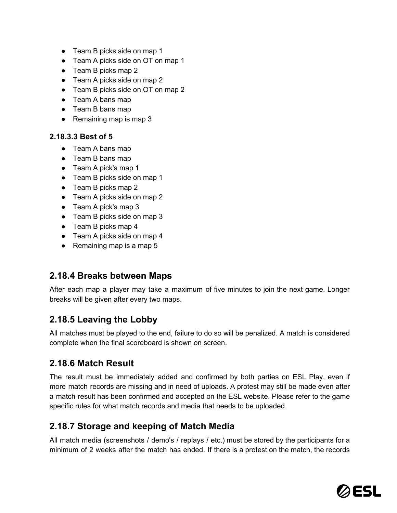- Team B picks side on map 1
- Team A picks side on OT on map 1
- Team B picks map 2
- Team A picks side on map 2
- Team B picks side on OT on map 2
- Team A bans map
- Team B bans map
- Remaining map is map 3

#### <span id="page-19-0"></span>**2.18.3.3 Best of 5**

- Team A bans map
- Team B bans map
- Team A pick's map 1
- Team B picks side on map 1
- Team B picks map 2
- Team A picks side on map 2
- Team A pick's map 3
- Team B picks side on map 3
- Team B picks map 4
- Team A picks side on map 4
- Remaining map is a map 5

#### <span id="page-19-1"></span>**2.18.4 Breaks between Maps**

After each map a player may take a maximum of five minutes to join the next game. Longer breaks will be given after every two maps.

### <span id="page-19-2"></span>**2.18.5 Leaving the Lobby**

All matches must be played to the end, failure to do so will be penalized. A match is considered complete when the final scoreboard is shown on screen.

### <span id="page-19-3"></span>**2.18.6 Match Result**

The result must be immediately added and confirmed by both parties on ESL Play, even if more match records are missing and in need of uploads. A protest may still be made even after a match result has been confirmed and accepted on the ESL website. Please refer to the game specific rules for what match records and media that needs to be uploaded.

### <span id="page-19-4"></span>**2.18.7 Storage and keeping of Match Media**

All match media (screenshots / demo's / replays / etc.) must be stored by the participants for a minimum of 2 weeks after the match has ended. If there is a protest on the match, the records

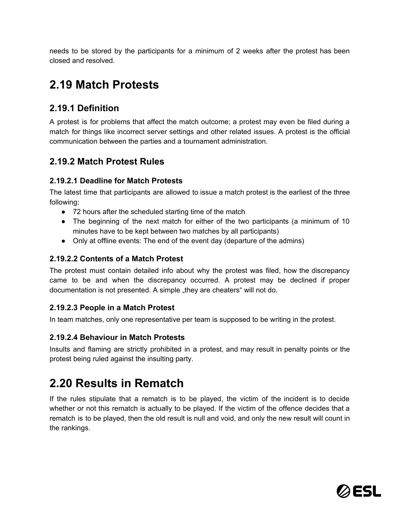needs to be stored by the participants for a minimum of 2 weeks after the protest has been closed and resolved.

### <span id="page-20-0"></span>**2.19 Match Protests**

### <span id="page-20-1"></span>**2.19.1 Definition**

A protest is for problems that affect the match outcome; a protest may even be filed during a match for things like incorrect server settings and other related issues. A protest is the official communication between the parties and a tournament administration.

### <span id="page-20-2"></span>**2.19.2 Match Protest Rules**

#### <span id="page-20-3"></span>**2.19.2.1 Deadline for Match Protests**

The latest time that participants are allowed to issue a match protest is the earliest of the three following:

- 72 hours after the scheduled starting time of the match
- The beginning of the next match for either of the two participants (a minimum of 10 minutes have to be kept between two matches by all participants)
- Only at offline events: The end of the event day (departure of the admins)

#### <span id="page-20-4"></span>**2.19.2.2 Contents of a Match Protest**

The protest must contain detailed info about why the protest was filed, how the discrepancy came to be and when the discrepancy occurred. A protest may be declined if proper documentation is not presented. A simple "they are cheaters" will not do.

#### <span id="page-20-5"></span>**2.19.2.3 People in a Match Protest**

In team matches, only one representative per team is supposed to be writing in the protest.

#### <span id="page-20-6"></span>**2.19.2.4 Behaviour in Match Protests**

Insults and flaming are strictly prohibited in a protest, and may result in penalty points or the protest being ruled against the insulting party.

### <span id="page-20-7"></span>**2.20 Results in Rematch**

If the rules stipulate that a rematch is to be played, the victim of the incident is to decide whether or not this rematch is actually to be played. If the victim of the offence decides that a rematch is to be played, then the old result is null and void, and only the new result will count in the rankings.

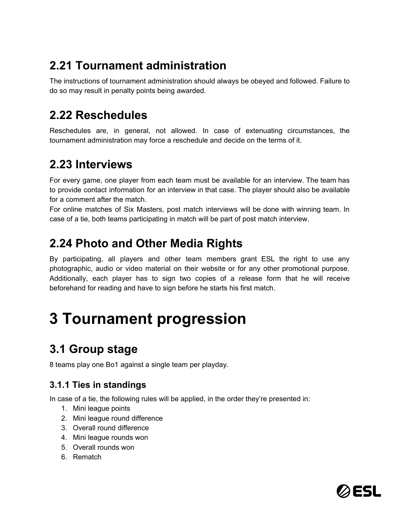### <span id="page-21-0"></span>**2.21 Tournament administration**

The instructions of tournament administration should always be obeyed and followed. Failure to do so may result in penalty points being awarded.

### <span id="page-21-1"></span>**2.22 Reschedules**

Reschedules are, in general, not allowed. In case of extenuating circumstances, the tournament administration may force a reschedule and decide on the terms of it.

### <span id="page-21-2"></span>**2.23 Interviews**

For every game, one player from each team must be available for an interview. The team has to provide contact information for an interview in that case. The player should also be available for a comment after the match.

For online matches of Six Masters, post match interviews will be done with winning team. In case of a tie, both teams participating in match will be part of post match interview.

### <span id="page-21-3"></span>**2.24 Photo and Other Media Rights**

By participating, all players and other team members grant ESL the right to use any photographic, audio or video material on their website or for any other promotional purpose. Additionally, each player has to sign two copies of a release form that he will receive beforehand for reading and have to sign before he starts his first match.

## <span id="page-21-4"></span>**3 Tournament progression**

### <span id="page-21-5"></span>**3.1 Group stage**

<span id="page-21-6"></span>8 teams play one Bo1 against a single team per playday.

### **3.1.1 Ties in standings**

In case of a tie, the following rules will be applied, in the order they're presented in:

- 1. Mini league points
- 2. Mini league round difference
- 3. Overall round difference
- 4. Mini league rounds won
- 5. Overall rounds won
- 6. Rematch

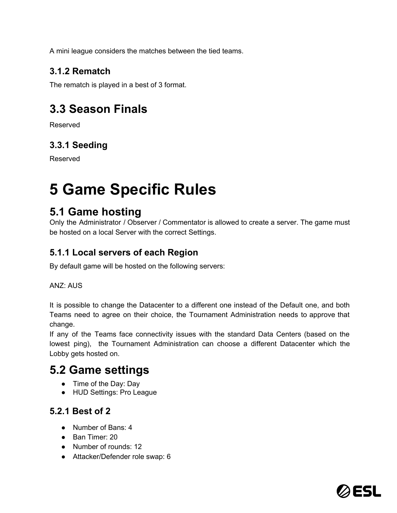<span id="page-22-0"></span>A mini league considers the matches between the tied teams.

### **3.1.2 Rematch**

<span id="page-22-1"></span>The rematch is played in a best of 3 format.

### **3.3 Season Finals**

<span id="page-22-2"></span>Reserved

### **3.3.1 Seeding**

<span id="page-22-3"></span>Reserved

## **5 Game Specific Rules**

### <span id="page-22-4"></span>**5.1 Game hosting**

Only the Administrator / Observer / Commentator is allowed to create a server. The game must be hosted on a local Server with the correct Settings.

### <span id="page-22-5"></span>**5.1.1 Local servers of each Region**

By default game will be hosted on the following servers:

ANZ: AUS

It is possible to change the Datacenter to a different one instead of the Default one, and both Teams need to agree on their choice, the Tournament Administration needs to approve that change.

If any of the Teams face connectivity issues with the standard Data Centers (based on the lowest ping), the Tournament Administration can choose a different Datacenter which the Lobby gets hosted on.

### <span id="page-22-6"></span>**5.2 Game settings**

- Time of the Day: Day
- HUD Settings: Pro League

### <span id="page-22-7"></span>**5.2.1 Best of 2**

- Number of Bans: 4
- Ban Timer: 20
- Number of rounds: 12
- Attacker/Defender role swap: 6

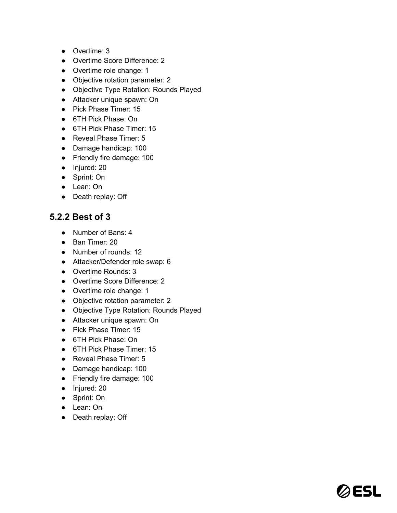- Overtime: 3
- Overtime Score Difference: 2
- Overtime role change: 1
- Objective rotation parameter: 2
- Objective Type Rotation: Rounds Played
- Attacker unique spawn: On
- Pick Phase Timer: 15
- 6TH Pick Phase: On
- 6TH Pick Phase Timer: 15
- Reveal Phase Timer: 5
- Damage handicap: 100
- Friendly fire damage: 100
- Injured: 20
- Sprint: On
- Lean: On
- Death replay: Off

### <span id="page-23-0"></span>**5.2.2 Best of 3**

- Number of Bans: 4
- Ban Timer: 20
- Number of rounds: 12
- Attacker/Defender role swap: 6
- Overtime Rounds: 3
- Overtime Score Difference: 2
- Overtime role change: 1
- Objective rotation parameter: 2
- Objective Type Rotation: Rounds Played
- Attacker unique spawn: On
- Pick Phase Timer: 15
- 6TH Pick Phase: On
- 6TH Pick Phase Timer: 15
- Reveal Phase Timer: 5
- Damage handicap: 100
- Friendly fire damage: 100
- Injured: 20
- Sprint: On
- Lean: On
- Death replay: Off

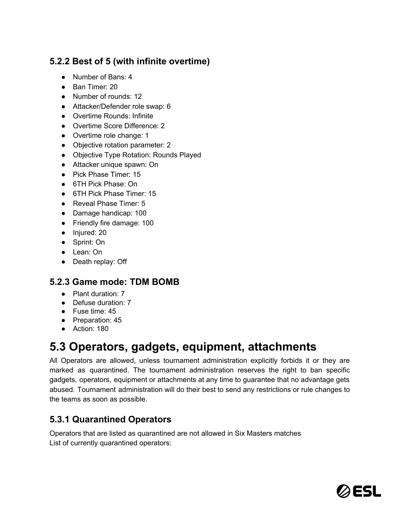### <span id="page-24-0"></span>**5.2.2 Best of 5 (with infinite overtime)**

- Number of Bans: 4
- Ban Timer: 20
- Number of rounds: 12
- Attacker/Defender role swap: 6
- Overtime Rounds: Infinite
- Overtime Score Difference: 2
- Overtime role change: 1
- Objective rotation parameter: 2
- Objective Type Rotation: Rounds Played
- Attacker unique spawn: On
- Pick Phase Timer: 15
- 6TH Pick Phase: On
- 6TH Pick Phase Timer: 15
- Reveal Phase Timer: 5
- Damage handicap: 100
- Friendly fire damage: 100
- Injured: 20
- Sprint: On
- Lean: On
- Death replay: Off

#### <span id="page-24-1"></span>**5.2.3 Game mode: TDM BOMB**

- Plant duration: 7
- Defuse duration: 7
- Fuse time: 45
- Preparation: 45
- Action: 180

### <span id="page-24-2"></span>**5.3 Operators, gadgets, equipment, attachments**

All Operators are allowed, unless tournament administration explicitly forbids it or they are marked as quarantined. The tournament administration reserves the right to ban specific gadgets, operators, equipment or attachments at any time to guarantee that no advantage gets abused. Tournament administration will do their best to send any restrictions or rule changes to the teams as soon as possible.

### <span id="page-24-3"></span>**5.3.1 Quarantined Operators**

Operators that are listed as quarantined are not allowed in Six Masters matches List of currently quarantined operators:

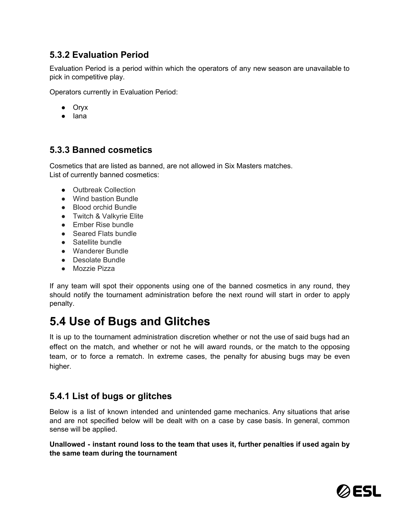### <span id="page-25-0"></span>**5.3.2 Evaluation Period**

Evaluation Period is a period within which the operators of any new season are unavailable to pick in competitive play.

Operators currently in Evaluation Period:

- Oryx
- Iana

#### <span id="page-25-1"></span>**5.3.3 Banned cosmetics**

Cosmetics that are listed as banned, are not allowed in Six Masters matches. List of currently banned cosmetics:

- Outbreak Collection
- Wind bastion Bundle
- Blood orchid Bundle
- Twitch & Valkyrie Elite
- Ember Rise bundle
- Seared Flats bundle
- Satellite bundle
- Wanderer Bundle
- Desolate Bundle
- Mozzie Pizza

If any team will spot their opponents using one of the banned cosmetics in any round, they should notify the tournament administration before the next round will start in order to apply penalty.

### <span id="page-25-2"></span>**5.4 Use of Bugs and Glitches**

It is up to the tournament administration discretion whether or not the use of said bugs had an effect on the match, and whether or not he will award rounds, or the match to the opposing team, or to force a rematch. In extreme cases, the penalty for abusing bugs may be even higher.

#### <span id="page-25-3"></span>**5.4.1 List of bugs or glitches**

Below is a list of known intended and unintended game mechanics. Any situations that arise and are not specified below will be dealt with on a case by case basis. In general, common sense will be applied.

**Unallowed - instant round loss to the team that uses it, further penalties if used again by the same team during the tournament**

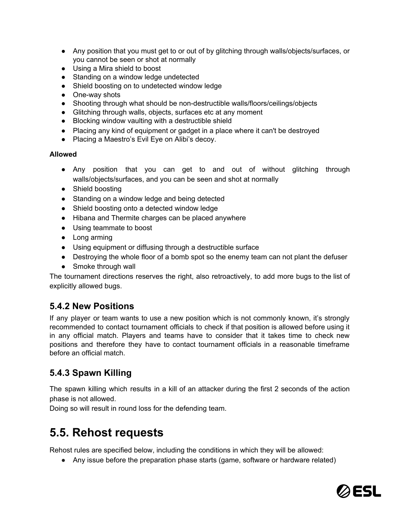- Any position that you must get to or out of by glitching through walls/objects/surfaces, or you cannot be seen or shot at normally
- Using a Mira shield to boost
- Standing on a window ledge undetected
- Shield boosting on to undetected window ledge
- One-way shots
- Shooting through what should be non-destructible walls/floors/ceilings/objects
- Glitching through walls, objects, surfaces etc at any moment
- Blocking window vaulting with a destructible shield
- Placing any kind of equipment or gadget in a place where it can't be destroyed
- Placing a Maestro's Evil Eye on Alibi's decoy.

#### **Allowed**

- Any position that you can get to and out of without glitching through walls/objects/surfaces, and you can be seen and shot at normally
- Shield boosting
- Standing on a window ledge and being detected
- Shield boosting onto a detected window ledge
- Hibana and Thermite charges can be placed anywhere
- Using teammate to boost
- Long arming
- Using equipment or diffusing through a destructible surface
- Destroying the whole floor of a bomb spot so the enemy team can not plant the defuser
- Smoke through wall

The tournament directions reserves the right, also retroactively, to add more bugs to the list of explicitly allowed bugs.

#### <span id="page-26-0"></span>**5.4.2 New Positions**

If any player or team wants to use a new position which is not commonly known, it's strongly recommended to contact tournament officials to check if that position is allowed before using it in any official match. Players and teams have to consider that it takes time to check new positions and therefore they have to contact tournament officials in a reasonable timeframe before an official match.

#### <span id="page-26-1"></span>**5.4.3 Spawn Killing**

The spawn killing which results in a kill of an attacker during the first 2 seconds of the action phase is not allowed.

<span id="page-26-2"></span>Doing so will result in round loss for the defending team.

### **5.5. Rehost requests**

Rehost rules are specified below, including the conditions in which they will be allowed:

• Any issue before the preparation phase starts (game, software or hardware related)

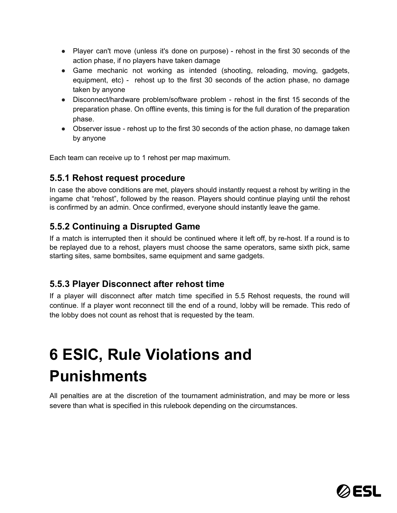- Player can't move (unless it's done on purpose) rehost in the first 30 seconds of the action phase, if no players have taken damage
- Game mechanic not working as intended (shooting, reloading, moving, gadgets, equipment, etc) - rehost up to the first 30 seconds of the action phase, no damage taken by anyone
- Disconnect/hardware problem/software problem rehost in the first 15 seconds of the preparation phase. On offline events, this timing is for the full duration of the preparation phase.
- Observer issue rehost up to the first 30 seconds of the action phase, no damage taken by anyone

<span id="page-27-0"></span>Each team can receive up to 1 rehost per map maximum.

#### **5.5.1 Rehost request procedure**

In case the above conditions are met, players should instantly request a rehost by writing in the ingame chat "rehost", followed by the reason. Players should continue playing until the rehost is confirmed by an admin. Once confirmed, everyone should instantly leave the game.

### <span id="page-27-1"></span>**5.5.2 Continuing a Disrupted Game**

If a match is interrupted then it should be continued where it left off, by re-host. If a round is to be replayed due to a rehost, players must choose the same operators, same sixth pick, same starting sites, same bombsites, same equipment and same gadgets.

#### <span id="page-27-2"></span>**5.5.3 Player Disconnect after rehost time**

If a player will disconnect after match time specified in 5.5 Rehost requests, the round will continue. If a player wont reconnect till the end of a round, lobby will be remade. This redo of the lobby does not count as rehost that is requested by the team.

# <span id="page-27-3"></span>**6 ESIC, Rule Violations and Punishments**

All penalties are at the discretion of the tournament administration, and may be more or less severe than what is specified in this rulebook depending on the circumstances.

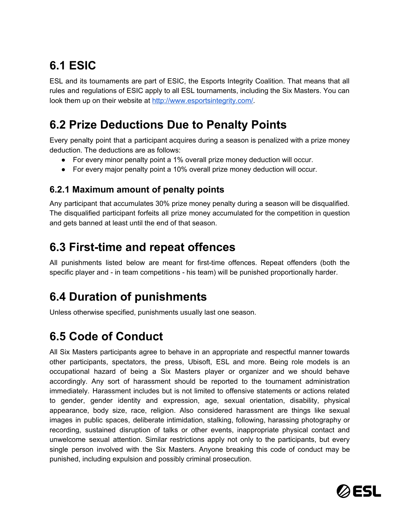### <span id="page-28-0"></span>**6.1 ESIC**

ESL and its tournaments are part of ESIC, the Esports Integrity Coalition. That means that all rules and regulations of ESIC apply to all ESL tournaments, including the Six Masters. You can look them up on their website at [http://www.esportsintegrity.com/.](http://www.esportsintegrity.com/)

### <span id="page-28-1"></span>**6.2 Prize Deductions Due to Penalty Points**

Every penalty point that a participant acquires during a season is penalized with a prize money deduction. The deductions are as follows:

- For every minor penalty point a 1% overall prize money deduction will occur.
- For every major penalty point a 10% overall prize money deduction will occur.

### <span id="page-28-2"></span>**6.2.1 Maximum amount of penalty points**

Any participant that accumulates 30% prize money penalty during a season will be disqualified. The disqualified participant forfeits all prize money accumulated for the competition in question and gets banned at least until the end of that season.

### <span id="page-28-3"></span>**6.3 First-time and repeat offences**

All punishments listed below are meant for first-time offences. Repeat offenders (both the specific player and - in team competitions - his team) will be punished proportionally harder.

### <span id="page-28-4"></span>**6.4 Duration of punishments**

<span id="page-28-5"></span>Unless otherwise specified, punishments usually last one season.

### **6.5 Code of Conduct**

All Six Masters participants agree to behave in an appropriate and respectful manner towards other participants, spectators, the press, Ubisoft, ESL and more. Being role models is an occupational hazard of being a Six Masters player or organizer and we should behave accordingly. Any sort of harassment should be reported to the tournament administration immediately. Harassment includes but is not limited to offensive statements or actions related to gender, gender identity and expression, age, sexual orientation, disability, physical appearance, body size, race, religion. Also considered harassment are things like sexual images in public spaces, deliberate intimidation, stalking, following, harassing photography or recording, sustained disruption of talks or other events, inappropriate physical contact and unwelcome sexual attention. Similar restrictions apply not only to the participants, but every single person involved with the Six Masters. Anyone breaking this code of conduct may be punished, including expulsion and possibly criminal prosecution.

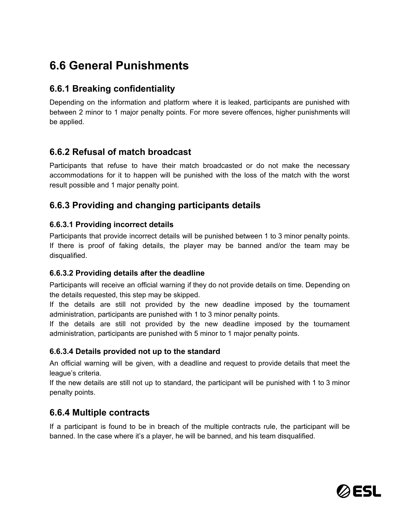### <span id="page-29-0"></span>**6.6 General Punishments**

### <span id="page-29-1"></span>**6.6.1 Breaking confidentiality**

Depending on the information and platform where it is leaked, participants are punished with between 2 minor to 1 major penalty points. For more severe offences, higher punishments will be applied.

### <span id="page-29-2"></span>**6.6.2 Refusal of match broadcast**

Participants that refuse to have their match broadcasted or do not make the necessary accommodations for it to happen will be punished with the loss of the match with the worst result possible and 1 major penalty point.

### <span id="page-29-3"></span>**6.6.3 Providing and changing participants details**

#### <span id="page-29-4"></span>**6.6.3.1 Providing incorrect details**

Participants that provide incorrect details will be punished between 1 to 3 minor penalty points. If there is proof of faking details, the player may be banned and/or the team may be disqualified.

#### <span id="page-29-5"></span>**6.6.3.2 Providing details after the deadline**

Participants will receive an official warning if they do not provide details on time. Depending on the details requested, this step may be skipped.

If the details are still not provided by the new deadline imposed by the tournament administration, participants are punished with 1 to 3 minor penalty points.

If the details are still not provided by the new deadline imposed by the tournament administration, participants are punished with 5 minor to 1 major penalty points.

#### <span id="page-29-6"></span>**6.6.3.4 Details provided not up to the standard**

An official warning will be given, with a deadline and request to provide details that meet the league's criteria.

If the new details are still not up to standard, the participant will be punished with 1 to 3 minor penalty points.

#### <span id="page-29-7"></span>**6.6.4 Multiple contracts**

If a participant is found to be in breach of the multiple contracts rule, the participant will be banned. In the case where it's a player, he will be banned, and his team disqualified.

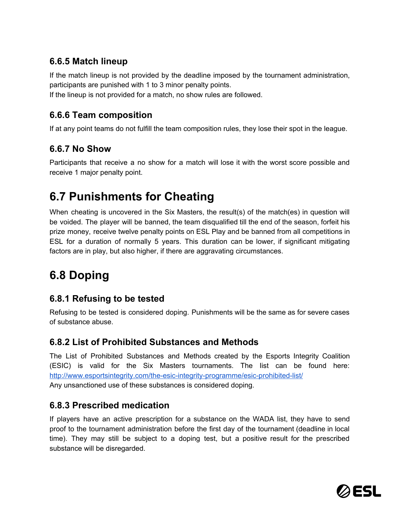### <span id="page-30-0"></span>**6.6.5 Match lineup**

If the match lineup is not provided by the deadline imposed by the tournament administration, participants are punished with 1 to 3 minor penalty points.

If the lineup is not provided for a match, no show rules are followed.

### <span id="page-30-1"></span>**6.6.6 Team composition**

If at any point teams do not fulfill the team composition rules, they lose their spot in the league.

### <span id="page-30-2"></span>**6.6.7 No Show**

Participants that receive a no show for a match will lose it with the worst score possible and receive 1 major penalty point.

### <span id="page-30-3"></span>**6.7 Punishments for Cheating**

When cheating is uncovered in the Six Masters, the result(s) of the match(es) in question will be voided. The player will be banned, the team disqualified till the end of the season, forfeit his prize money, receive twelve penalty points on ESL Play and be banned from all competitions in ESL for a duration of normally 5 years. This duration can be lower, if significant mitigating factors are in play, but also higher, if there are aggravating circumstances.

### <span id="page-30-4"></span>**6.8 Doping**

### <span id="page-30-5"></span>**6.8.1 Refusing to be tested**

Refusing to be tested is considered doping. Punishments will be the same as for severe cases of substance abuse.

#### <span id="page-30-6"></span>**6.8.2 List of Prohibited Substances and Methods**

The List of Prohibited Substances and Methods created by the Esports Integrity Coalition (ESIC) is valid for the Six Masters tournaments. The Iist can be found here: <http://www.esportsintegrity.com/the-esic-integrity-programme/esic-prohibited-list/> Any unsanctioned use of these substances is considered doping.

### <span id="page-30-7"></span>**6.8.3 Prescribed medication**

If players have an active prescription for a substance on the WADA list, they have to send proof to the tournament administration before the first day of the tournament (deadline in local time). They may still be subject to a doping test, but a positive result for the prescribed substance will be disregarded.

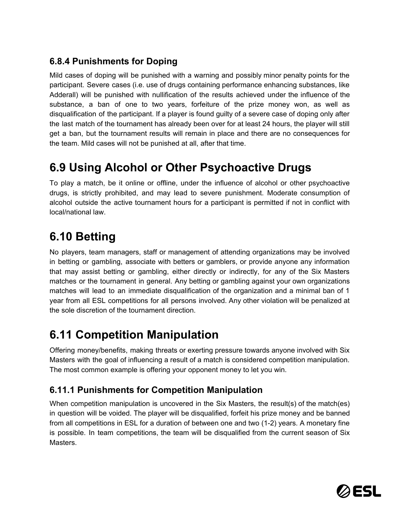### <span id="page-31-0"></span>**6.8.4 Punishments for Doping**

Mild cases of doping will be punished with a warning and possibly minor penalty points for the participant. Severe cases (i.e. use of drugs containing performance enhancing substances, like Adderall) will be punished with nullification of the results achieved under the influence of the substance, a ban of one to two years, forfeiture of the prize money won, as well as disqualification of the participant. If a player is found guilty of a severe case of doping only after the last match of the tournament has already been over for at least 24 hours, the player will still get a ban, but the tournament results will remain in place and there are no consequences for the team. Mild cases will not be punished at all, after that time.

### <span id="page-31-1"></span>**6.9 Using Alcohol or Other Psychoactive Drugs**

To play a match, be it online or offline, under the influence of alcohol or other psychoactive drugs, is strictly prohibited, and may lead to severe punishment. Moderate consumption of alcohol outside the active tournament hours for a participant is permitted if not in conflict with local/national law.

### <span id="page-31-2"></span>**6.10 Betting**

No players, team managers, staff or management of attending organizations may be involved in betting or gambling, associate with betters or gamblers, or provide anyone any information that may assist betting or gambling, either directly or indirectly, for any of the Six Masters matches or the tournament in general. Any betting or gambling against your own organizations matches will lead to an immediate disqualification of the organization and a minimal ban of 1 year from all ESL competitions for all persons involved. Any other violation will be penalized at the sole discretion of the tournament direction.

### <span id="page-31-3"></span>**6.11 Competition Manipulation**

Offering money/benefits, making threats or exerting pressure towards anyone involved with Six Masters with the goal of influencing a result of a match is considered competition manipulation. The most common example is offering your opponent money to let you win.

### <span id="page-31-4"></span>**6.11.1 Punishments for Competition Manipulation**

When competition manipulation is uncovered in the Six Masters, the result(s) of the match(es) in question will be voided. The player will be disqualified, forfeit his prize money and be banned from all competitions in ESL for a duration of between one and two (1-2) years. A monetary fine is possible. In team competitions, the team will be disqualified from the current season of Six Masters.

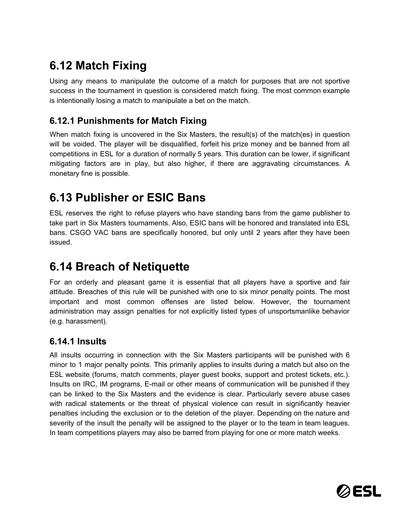### <span id="page-32-0"></span>**6.12 Match Fixing**

Using any means to manipulate the outcome of a match for purposes that are not sportive success in the tournament in question is considered match fixing. The most common example is intentionally losing a match to manipulate a bet on the match.

### <span id="page-32-1"></span>**6.12.1 Punishments for Match Fixing**

When match fixing is uncovered in the Six Masters, the result(s) of the match(es) in question will be voided. The player will be disqualified, forfeit his prize money and be banned from all competitions in ESL for a duration of normally 5 years. This duration can be lower, if significant mitigating factors are in play, but also higher, if there are aggravating circumstances. A monetary fine is possible.

### <span id="page-32-2"></span>**6.13 Publisher or ESIC Bans**

ESL reserves the right to refuse players who have standing bans from the game publisher to take part in Six Masters tournaments. Also, ESIC bans will be honored and translated into ESL bans. CSGO VAC bans are specifically honored, but only until 2 years after they have been issued.

### <span id="page-32-3"></span>**6.14 Breach of Netiquette**

For an orderly and pleasant game it is essential that all players have a sportive and fair attitude. Breaches of this rule will be punished with one to six minor penalty points. The most important and most common offenses are listed below. However, the tournament administration may assign penalties for not explicitly listed types of unsportsmanlike behavior (e.g. harassment).

### <span id="page-32-4"></span>**6.14.1 Insults**

All insults occurring in connection with the Six Masters participants will be punished with 6 minor to 1 major penalty points. This primarily applies to insults during a match but also on the ESL website (forums, match comments, player guest books, support and protest tickets, etc.). Insults on IRC, IM programs, E-mail or other means of communication will be punished if they can be linked to the Six Masters and the evidence is clear. Particularly severe abuse cases with radical statements or the threat of physical violence can result in significantly heavier penalties including the exclusion or to the deletion of the player. Depending on the nature and severity of the insult the penalty will be assigned to the player or to the team in team leagues. In team competitions players may also be barred from playing for one or more match weeks.

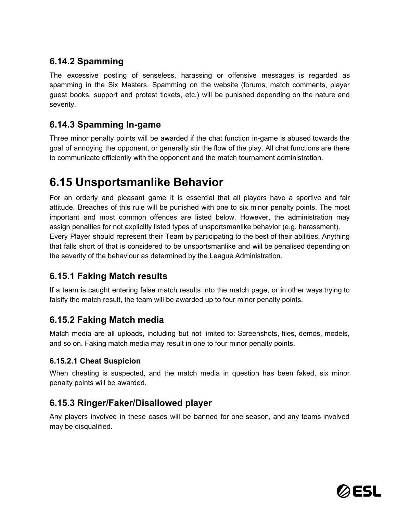### <span id="page-33-0"></span>**6.14.2 Spamming**

The excessive posting of senseless, harassing or offensive messages is regarded as spamming in the Six Masters. Spamming on the website (forums, match comments, player guest books, support and protest tickets, etc.) will be punished depending on the nature and severity.

#### <span id="page-33-1"></span>**6.14.3 Spamming In-game**

Three minor penalty points will be awarded if the chat function in-game is abused towards the goal of annoying the opponent, or generally stir the flow of the play. All chat functions are there to communicate efficiently with the opponent and the match tournament administration.

### <span id="page-33-2"></span>**6.15 Unsportsmanlike Behavior**

For an orderly and pleasant game it is essential that all players have a sportive and fair attitude. Breaches of this rule will be punished with one to six minor penalty points. The most important and most common offences are listed below. However, the administration may assign penalties for not explicitly listed types of unsportsmanlike behavior (e.g. harassment). Every Player should represent their Team by participating to the best of their abilities. Anything that falls short of that is considered to be unsportsmanlike and will be penalised depending on the severity of the behaviour as determined by the League Administration.

#### <span id="page-33-3"></span>**6.15.1 Faking Match results**

If a team is caught entering false match results into the match page, or in other ways trying to falsify the match result, the team will be awarded up to four minor penalty points.

### <span id="page-33-4"></span>**6.15.2 Faking Match media**

Match media are all uploads, including but not limited to: Screenshots, files, demos, models, and so on. Faking match media may result in one to four minor penalty points.

#### <span id="page-33-5"></span>**6.15.2.1 Cheat Suspicion**

When cheating is suspected, and the match media in question has been faked, six minor penalty points will be awarded.

### <span id="page-33-6"></span>**6.15.3 Ringer/Faker/Disallowed player**

Any players involved in these cases will be banned for one season, and any teams involved may be disqualified.

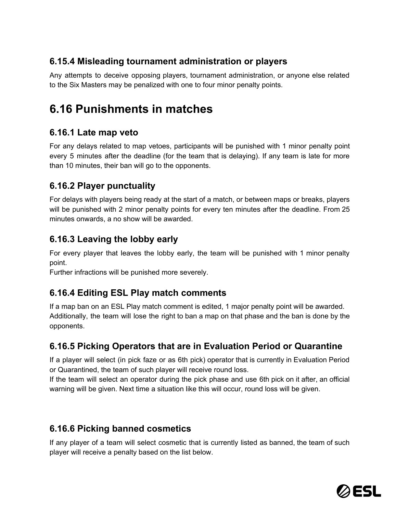### <span id="page-34-0"></span>**6.15.4 Misleading tournament administration or players**

Any attempts to deceive opposing players, tournament administration, or anyone else related to the Six Masters may be penalized with one to four minor penalty points.

### <span id="page-34-1"></span>**6.16 Punishments in matches**

### <span id="page-34-2"></span>**6.16.1 Late map veto**

For any delays related to map vetoes, participants will be punished with 1 minor penalty point every 5 minutes after the deadline (for the team that is delaying). If any team is late for more than 10 minutes, their ban will go to the opponents.

### <span id="page-34-3"></span>**6.16.2 Player punctuality**

For delays with players being ready at the start of a match, or between maps or breaks, players will be punished with 2 minor penalty points for every ten minutes after the deadline. From 25 minutes onwards, a no show will be awarded.

### <span id="page-34-4"></span>**6.16.3 Leaving the lobby early**

For every player that leaves the lobby early, the team will be punished with 1 minor penalty point.

<span id="page-34-5"></span>Further infractions will be punished more severely.

### **6.16.4 Editing ESL Play match comments**

If a map ban on an ESL Play match comment is edited, 1 major penalty point will be awarded. Additionally, the team will lose the right to ban a map on that phase and the ban is done by the opponents.

### <span id="page-34-6"></span>**6.16.5 Picking Operators that are in Evaluation Period or Quarantine**

If a player will select (in pick faze or as 6th pick) operator that is currently in Evaluation Period or Quarantined, the team of such player will receive round loss.

If the team will select an operator during the pick phase and use 6th pick on it after, an official warning will be given. Next time a situation like this will occur, round loss will be given.

### <span id="page-34-7"></span>**6.16.6 Picking banned cosmetics**

If any player of a team will select cosmetic that is currently listed as banned, the team of such player will receive a penalty based on the list below.

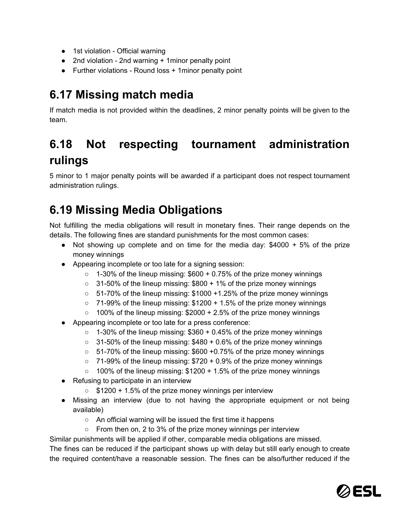- 1st violation Official warning
- 2nd violation 2nd warning + 1minor penalty point
- Further violations Round loss + 1 minor penalty point

### <span id="page-35-0"></span>**6.17 Missing match media**

If match media is not provided within the deadlines, 2 minor penalty points will be given to the team.

### <span id="page-35-1"></span>**6.18 Not respecting tournament administration rulings**

5 minor to 1 major penalty points will be awarded if a participant does not respect tournament administration rulings.

### <span id="page-35-2"></span>**6.19 Missing Media Obligations**

Not fulfilling the media obligations will result in monetary fines. Their range depends on the details. The following fines are standard punishments for the most common cases:

- Not showing up complete and on time for the media day: \$4000 + 5% of the prize money winnings
- Appearing incomplete or too late for a signing session:
	- $\circ$  1-30% of the lineup missing: \$600 + 0.75% of the prize money winnings
	- $\circ$  31-50% of the lineup missing: \$800 + 1% of the prize money winnings
	- $\circ$  51-70% of the lineup missing: \$1000 +1.25% of the prize money winnings
	- $\degree$  71-99% of the lineup missing: \$1200 + 1.5% of the prize money winnings
	- $\circ$  100% of the lineup missing: \$2000 + 2.5% of the prize money winnings
- Appearing incomplete or too late for a press conference:
	- $\circ$  1-30% of the lineup missing: \$360 + 0.45% of the prize money winnings
	- $\circ$  31-50% of the lineup missing: \$480 + 0.6% of the prize money winnings
	- 51-70% of the lineup missing: \$600 +0.75% of the prize money winnings
	- $\degree$  71-99% of the lineup missing: \$720 + 0.9% of the prize money winnings
	- $\degree$  100% of the lineup missing: \$1200 + 1.5% of the prize money winnings
- Refusing to participate in an interview
	- $\circ$  \$1200 + 1.5% of the prize money winnings per interview
- Missing an interview (due to not having the appropriate equipment or not being available)
	- An official warning will be issued the first time it happens
	- $\circ$  From then on, 2 to 3% of the prize money winnings per interview

Similar punishments will be applied if other, comparable media obligations are missed.

The fines can be reduced if the participant shows up with delay but still early enough to create the required content/have a reasonable session. The fines can be also/further reduced if the